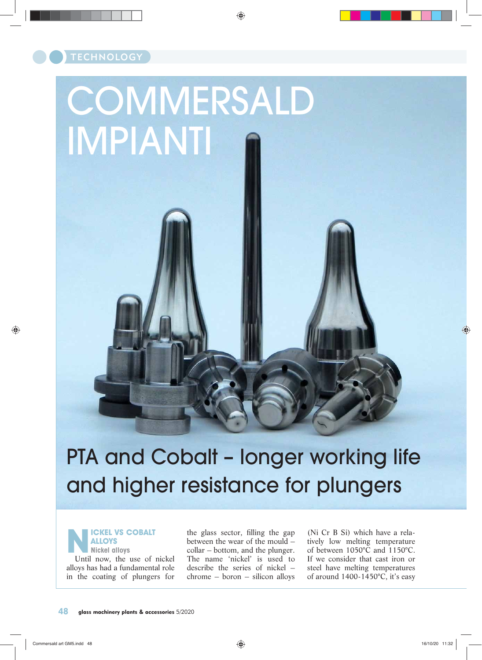# **COMMERSALD** IMPIANTI

## PTA and Cobalt – longer working life and higher resistance for plungers

**NICKEL VS COBALT**<br> **NICKEL VS COBALT**<br>
NICKEL VS COBALT<br>
Until now, the use of nickel **ALLOYS Nickel alloys** alloys has had a fundamental role in the coating of plungers for

the glass sector, filling the gap between the wear of the mould – collar – bottom, and the plunger. The name 'nickel' is used to describe the series of nickel – chrome – boron – silicon alloys

(Ni Cr B Si) which have a relatively low melting temperature of between 1050°C and 1150°C. If we consider that cast iron or steel have melting temperatures of around 1400-1450°C, it's easy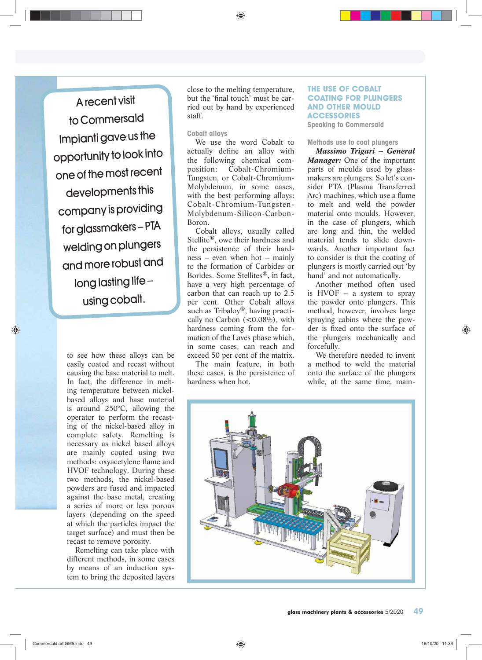A recent visit to Commersald Impianti gave us the opportunity to look into one of the most recen<sup>t</sup> developments this company is providing for glassmakers – PTA welding on plungers and more robust and long lasting life – using cobalt.

> to see how these alloys can be easily coated and recast without causing the base material to melt. In fact, the difference in melting temperature between nickelbased alloys and base material is around 250°C, allowing the operator to perform the recasting of the nickel-based alloy in complete safety. Remelting is necessary as nickel based alloys are mainly coated using two methods: oxyacetylene flame and HVOF technology. During these two methods, the nickel-based powders are fused and impacted against the base metal, creating a series of more or less porous layers (depending on the speed at which the particles impact the target surface) and must then be recast to remove porosity.

Remelting can take place with different methods, in some cases by means of an induction system to bring the deposited layers close to the melting temperature, but the 'final touch' must be carried out by hand by experienced staff.

#### **Cobalt alloys**

We use the word Cobalt to actually define an alloy with the following chemical composition: Cobalt-Chromium-Tungsten, or Cobalt-Chromium-Molybdenum, in some cases, with the best performing alloys: Cobalt-Chromium-Tungsten-Molybdenum-Silicon-Carbon-Boron.

Cobalt alloys, usually called Stellite®, owe their hardness and the persistence of their hardness – even when hot – mainly to the formation of Carbides or Borides. Some Stellites®, in fact, have a very high percentage of carbon that can reach up to 2.5 per cent. Other Cobalt alloys such as Tribaloy®, having practically no Carbon  $(<0.08\%)$ , with hardness coming from the formation of the Laves phase which, in some cases, can reach and exceed 50 per cent of the matrix.

The main feature, in both these cases, is the persistence of hardness when hot.

#### **THE USE OF COBALT COATING FOR PLUNGERS AND OTHER MOULD ACCESSORIES**

**Speaking to Commersald**

#### **Methods use to coat plungers**

*Massimo Trigari – General Manager:* One of the important parts of moulds used by glassmakers are plungers. So let's consider PTA (Plasma Transferred Arc) machines, which use a flame to melt and weld the powder material onto moulds. However, in the case of plungers, which are long and thin, the welded material tends to slide downwards. Another important fact to consider is that the coating of plungers is mostly carried out 'by hand' and not automatically.

Another method often used is  $HVOF - a$  system to spray the powder onto plungers. This method, however, involves large spraying cabins where the powder is fixed onto the surface of the plungers mechanically and forcefully.

We therefore needed to invent a method to weld the material onto the surface of the plungers while, at the same time, main-

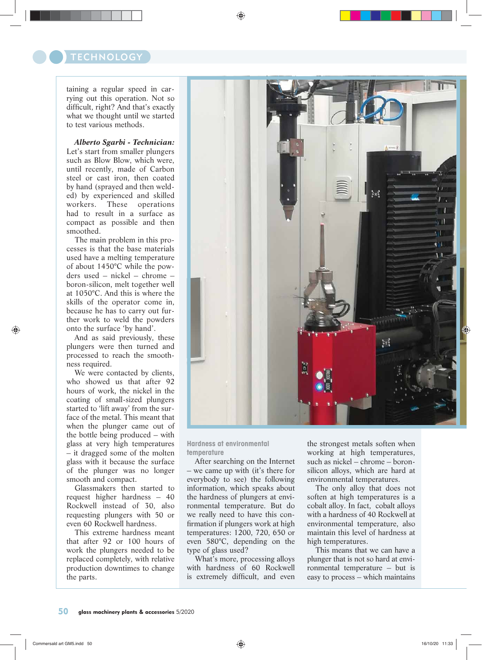### **TECHNOLOGY**

taining a regular speed in carrying out this operation. Not so difficult, right? And that's exactly what we thought until we started to test various methods.

Let's start from smaller plungers such as Blow Blow, which were, until recently, made of Carbon steel or cast iron, then coated by hand (sprayed and then welded) by experienced and skilled workers. These operations had to result in a surface as compact as possible and then smoothed.

The main problem in this processes is that the base materials used have a melting temperature of about 1450°C while the powders used – nickel – chrome – boron-silicon, melt together well at 1050°C. And this is where the skills of the operator come in, because he has to carry out further work to weld the powders onto the surface 'by hand'.

And as said previously, these plungers were then turned and processed to reach the smoothness required.

We were contacted by clients, who showed us that after 92 hours of work, the nickel in the coating of small-sized plungers started to 'lift away' from the surface of the metal. This meant that when the plunger came out of the bottle being produced – with glass at very high temperatures – it dragged some of the molten glass with it because the surface of the plunger was no longer smooth and compact.

Glassmakers then started to request higher hardness – 40 Rockwell instead of 30, also requesting plungers with 50 or even 60 Rockwell hardness.

This extreme hardness meant that after 92 or 100 hours of work the plungers needed to be replaced completely, with relative production downtimes to change the parts.



**Hardness at environmental temperature**

After searching on the Internet – we came up with (it's there for everybody to see) the following information, which speaks about the hardness of plungers at environmental temperature. But do we really need to have this confirmation if plungers work at high temperatures: 1200, 720, 650 or even 580°C, depending on the type of glass used?

What's more, processing alloys with hardness of 60 Rockwell is extremely difficult, and even the strongest metals soften when working at high temperatures, such as nickel – chrome – boronsilicon alloys, which are hard at environmental temperatures.

The only alloy that does not soften at high temperatures is a cobalt alloy. In fact, cobalt alloys with a hardness of 40 Rockwell at environmental temperature, also maintain this level of hardness at high temperatures.

This means that we can have a plunger that is not so hard at environmental temperature – but is easy to process – which maintains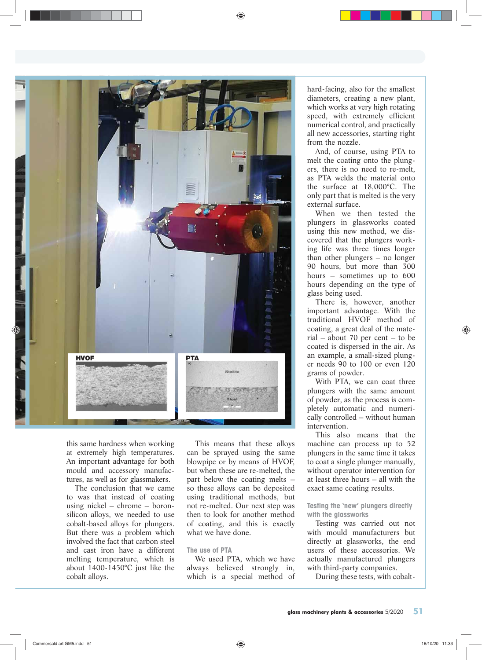

this same hardness when working at extremely high temperatures. An important advantage for both mould and accessory manufactures, as well as for glassmakers.

The conclusion that we came to was that instead of coating using nickel – chrome – boronsilicon alloys, we needed to use cobalt-based alloys for plungers. But there was a problem which involved the fact that carbon steel and cast iron have a different melting temperature, which is about 1400-1450°C just like the cobalt alloys.

This means that these alloys can be sprayed using the same blowpipe or by means of HVOF, but when these are re-melted, the part below the coating melts – so these alloys can be deposited using traditional methods, but not re-melted. Our next step was then to look for another method of coating, and this is exactly what we have done.

#### **The use of PTA**

We used PTA, which we have always believed strongly in, which is a special method of

hard-facing, also for the smallest diameters, creating a new plant, which works at very high rotating speed, with extremely efficient numerical control, and practically all new accessories, starting right from the nozzle.

And, of course, using PTA to melt the coating onto the plungers, there is no need to re-melt, as PTA welds the material onto the surface at 18,000°C. The only part that is melted is the very external surface.

When we then tested the plungers in glassworks coated using this new method, we discovered that the plungers working life was three times longer than other plungers – no longer 90 hours, but more than 300 hours – sometimes up to 600 hours depending on the type of glass being used.

There is, however, another important advantage. With the traditional HVOF method of coating, a great deal of the material – about 70 per cent – to be coated is dispersed in the air. As an example, a small-sized plunger needs 90 to 100 or even 120 grams of powder.

With PTA, we can coat three plungers with the same amount of powder, as the process is completely automatic and numerically controlled – without human intervention.

This also means that the machine can process up to 52 plungers in the same time it takes to coat a single plunger manually, without operator intervention for at least three hours – all with the exact same coating results.

**Testing the 'new' plungers directly with the glassworks**

Testing was carried out not with mould manufacturers but directly at glassworks, the end users of these accessories. We actually manufactured plungers with third-party companies.

During these tests, with cobalt-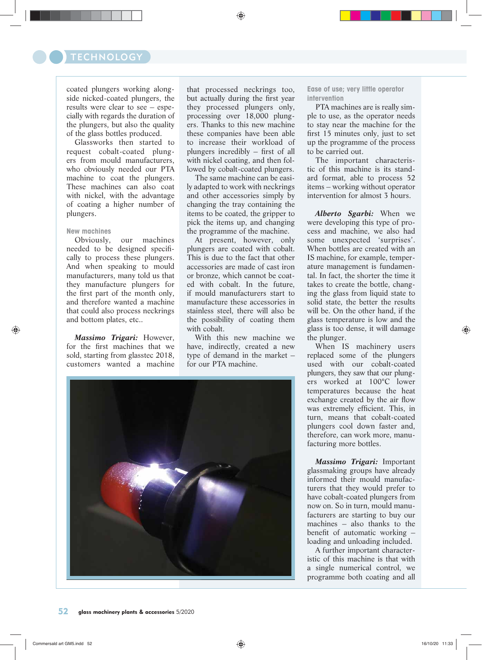coated plungers working alongside nicked-coated plungers, the results were clear to see – especially with regards the duration of the plungers, but also the quality of the glass bottles produced.

Glassworks then started to request cobalt-coated plungers from mould manufacturers, who obviously needed our PTA machine to coat the plungers. These machines can also coat with nickel, with the advantage of coating a higher number of plungers.

#### **New machines**

Obviously, our machines needed to be designed specifically to process these plungers. And when speaking to mould manufacturers, many told us that they manufacture plungers for the first part of the month only, and therefore wanted a machine that could also process neckrings and bottom plates, etc..

*Massimo Trigari:* However, for the first machines that we sold, starting from glasstec 2018, customers wanted a machine that processed neckrings too, but actually during the first year they processed plungers only, processing over 18,000 plungers. Thanks to this new machine these companies have been able to increase their workload of plungers incredibly – first of all with nickel coating, and then followed by cobalt-coated plungers.

The same machine can be easily adapted to work with neckrings and other accessories simply by changing the tray containing the items to be coated, the gripper to pick the items up, and changing the programme of the machine.

At present, however, only plungers are coated with cobalt. This is due to the fact that other accessories are made of cast iron or bronze, which cannot be coated with cobalt. In the future, if mould manufacturers start to manufacture these accessories in stainless steel, there will also be the possibility of coating them with cobalt.

With this new machine we have, indirectly, created a new type of demand in the market – for our PTA machine.



**Ease of use; very little operator intervention**

PTA machines are is really simple to use, as the operator needs to stay near the machine for the first 15 minutes only, just to set up the programme of the process to be carried out.

The important characteristic of this machine is its standard format, able to process 52 items – working without operator intervention for almost 3 hours.

*Alberto Sgarbi:* When we were developing this type of process and machine, we also had some unexpected 'surprises'. When bottles are created with an IS machine, for example, temperature management is fundamental. In fact, the shorter the time it takes to create the bottle, changing the glass from liquid state to solid state, the better the results will be. On the other hand, if the glass temperature is low and the glass is too dense, it will damage the plunger.

When IS machinery users replaced some of the plungers used with our cobalt-coated plungers, they saw that our plungers worked at 100°C lower temperatures because the heat exchange created by the air flow was extremely efficient. This, in turn, means that cobalt-coated plungers cool down faster and, therefore, can work more, manufacturing more bottles.

*Massimo Trigari:* Important glassmaking groups have already informed their mould manufacturers that they would prefer to have cobalt-coated plungers from now on. So in turn, mould manufacturers are starting to buy our machines – also thanks to the benefit of automatic working – loading and unloading included.

A further important characteristic of this machine is that with a single numerical control, we programme both coating and all